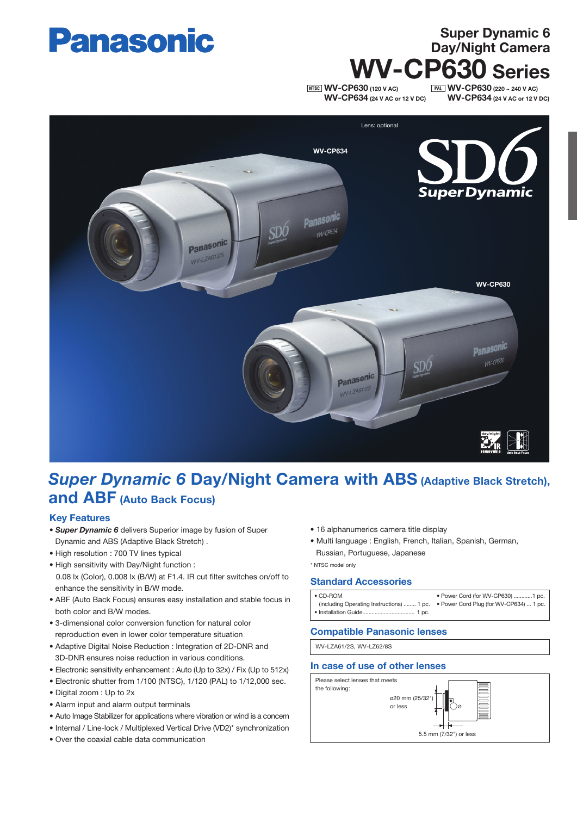

# WV-CP630 Series

**NTSC WV-CP630 (120 V AC)** WV-CP634 (24 V AC or 12 V DC)

**PAL WV-CP630** (220 ~ 240 V AC) WV-CP634 (24 V AC or 12 V DC)

Super Dynamic 6 Day/Night Camera



## **Super Dynamic 6 Day/Night Camera with ABS (Adaptive Black Stretch),** and ABF (Auto Back Focus)

#### Key Features

- *Super Dynamic 6* delivers Superior image by fusion of Super Dynamic and ABS (Adaptive Black Stretch) .
- High resolution : 700 TV lines typical
- High sensitivity with Day/Night function : 0.08 lx (Color), 0.008 lx (B/W) at F1.4. IR cut filter switches on/off to enhance the sensitivity in B/W mode.
- ABF (Auto Back Focus) ensures easy installation and stable focus in both color and B/W modes.
- 3-dimensional color conversion function for natural color reproduction even in lower color temperature situation
- Adaptive Digital Noise Reduction : Integration of 2D-DNR and 3D-DNR ensures noise reduction in various conditions.
- Electronic sensitivity enhancement : Auto (Up to 32x) / Fix (Up to 512x)
- Electronic shutter from 1/100 (NTSC), 1/120 (PAL) to 1/12,000 sec.
- Digital zoom : Up to 2x
- Alarm input and alarm output terminals
- Auto Image Stabilizer for applications where vibration or wind is a concern
- Internal / Line-lock / Multiplexed Vertical Drive (VD2)\* synchronization
- Over the coaxial cable data communication
- 16 alphanumerics camera title display
- Multi language : English, French, Italian, Spanish, German, Russian, Portuguese, Japanese

\* NTSC model only

#### Standard Accessories

| $\bullet$ CD-ROM                                                                  | • Power Cord (for WV-CP630) 1 pc. |
|-----------------------------------------------------------------------------------|-----------------------------------|
| (including Operating Instructions)  1 pc. • Power Cord Plug (for WV-CP634)  1 pc. |                                   |
|                                                                                   |                                   |

#### Compatible Panasonic lenses

WV-LZA61/2S, WV-LZ62/8S

#### In case of use of other lenses